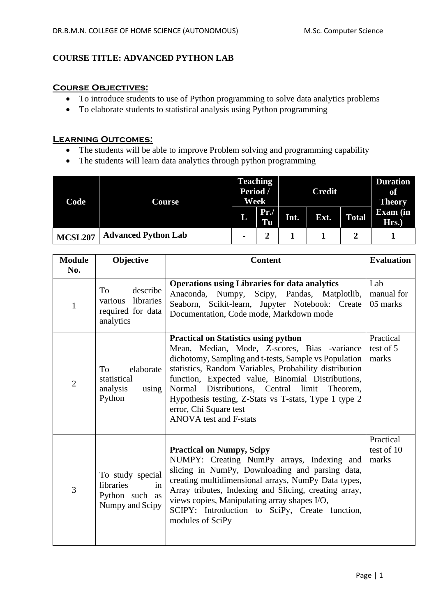# **COURSE TITLE: ADVANCED PYTHON LAB**

## **Course Objectives:**

- To introduce students to use of Python programming to solve data analytics problems
- To elaborate students to statistical analysis using Python programming

### **Learning Outcomes:**

- The students will be able to improve Problem solving and programming capability
- The students will learn data analytics through python programming

| Code           | Course                     | <b>Teaching</b><br>Period /<br>Week |           | <b>Credit</b> |      |              | <b>Duration</b><br>of<br><b>Theory</b> |
|----------------|----------------------------|-------------------------------------|-----------|---------------|------|--------------|----------------------------------------|
|                |                            | L                                   | Pr.<br>Tu | Int.          | Ext. | <b>Total</b> | <b>Exam</b> (in<br>Hrs.)               |
| <b>MCSL207</b> | <b>Advanced Python Lab</b> | $\blacksquare$                      |           |               |      |              |                                        |

| <b>Module</b><br>No. | Objective                                                                | <b>Content</b>                                                                                                                                                                                                                                                                                                                                                                                                                                | <b>Evaluation</b>                |
|----------------------|--------------------------------------------------------------------------|-----------------------------------------------------------------------------------------------------------------------------------------------------------------------------------------------------------------------------------------------------------------------------------------------------------------------------------------------------------------------------------------------------------------------------------------------|----------------------------------|
| $\mathbf{1}$         | describe<br>To<br>libraries<br>various<br>required for data<br>analytics | <b>Operations using Libraries for data analytics</b><br>Anaconda,<br>Numpy,<br>Scipy, Pandas, Matplotlib,<br>Seaborn, Scikit-learn, Jupyter Notebook: Create<br>Documentation, Code mode, Markdown mode                                                                                                                                                                                                                                       | Lab<br>manual for<br>05 marks    |
| $\overline{2}$       | To<br>elaborate<br>statistical<br>analysis<br>using<br>Python            | <b>Practical on Statistics using python</b><br>Mean, Median, Mode, Z-scores, Bias -variance<br>dichotomy, Sampling and t-tests, Sample vs Population<br>statistics, Random Variables, Probability distribution<br>function, Expected value, Binomial Distributions,<br>Distributions, Central limit<br>Normal<br>Theorem,<br>Hypothesis testing, Z-Stats vs T-stats, Type 1 type 2<br>error, Chi Square test<br><b>ANOVA</b> test and F-stats | Practical<br>test of 5<br>marks  |
| 3                    | To study special<br>libraries<br>in<br>Python such as<br>Numpy and Scipy | <b>Practical on Numpy, Scipy</b><br>NUMPY: Creating NumPy arrays, Indexing and<br>slicing in NumPy, Downloading and parsing data,<br>creating multidimensional arrays, NumPy Data types,<br>Array tributes, Indexing and Slicing, creating array,<br>views copies, Manipulating array shapes I/O,<br>SCIPY: Introduction to SciPy, Create function,<br>modules of SciPy                                                                       | Practical<br>test of 10<br>marks |